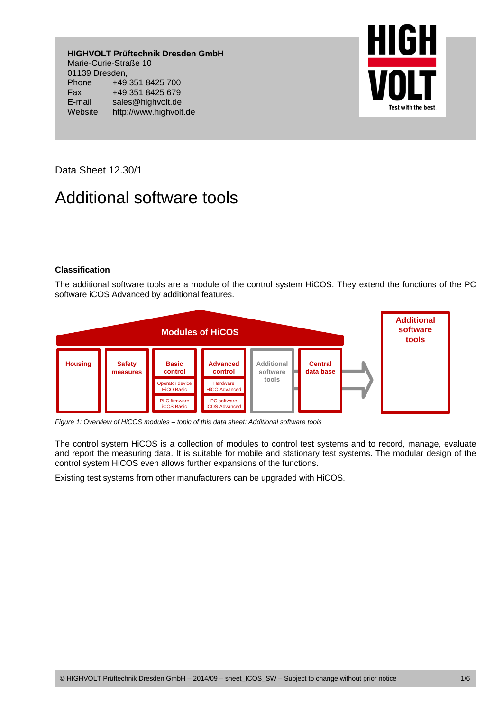**HIGHVOLT Prüftechnik Dresden GmbH**  Marie-Curie-Straße 10 01139 Dresden, Phone +49 351 8425 700 Fax +49 351 8425 679 E-mail sales@highvolt.de Website http://www.highvolt.de



Data Sheet 12.30/1

# Additional software tools

## **Classification**

The additional software tools are a module of the control system HiCOS. They extend the functions of the PC software iCOS Advanced by additional features.



*Figure 1: Overview of HiCOS modules – topic of this data sheet: Additional software tools* 

The control system HiCOS is a collection of modules to control test systems and to record, manage, evaluate and report the measuring data. It is suitable for mobile and stationary test systems. The modular design of the control system HiCOS even allows further expansions of the functions.

Existing test systems from other manufacturers can be upgraded with HiCOS.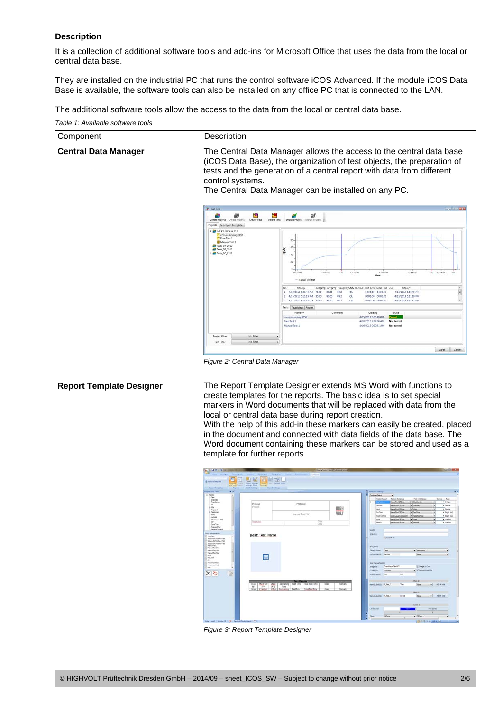## **Description**

It is a collection of additional software tools and add-ins for Microsoft Office that uses the data from the local or central data base.

They are installed on the industrial PC that runs the control software iCOS Advanced. If the module iCOS Data Base is available, the software tools can also be installed on any office PC that is connected to the LAN.

The additional software tools allow the access to the data from the local or central data base.

*Table 1: Available software tools* 

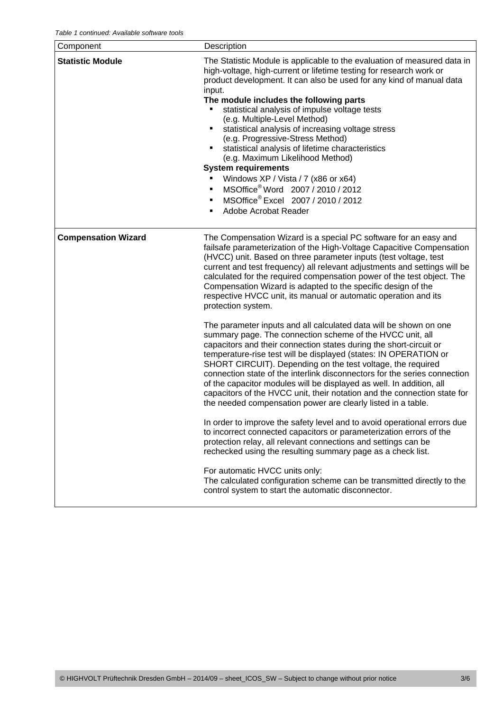| <b>Statistic Module</b><br>The Statistic Module is applicable to the evaluation of measured data in<br>high-voltage, high-current or lifetime testing for research work or<br>product development. It can also be used for any kind of manual data<br>input.<br>The module includes the following parts<br>statistical analysis of impulse voltage tests<br>(e.g. Multiple-Level Method)<br>statistical analysis of increasing voltage stress<br>(e.g. Progressive-Stress Method)<br>statistical analysis of lifetime characteristics<br>(e.g. Maximum Likelihood Method)<br><b>System requirements</b><br>Windows XP / Vista / 7 (x86 or x64)<br>MSOffice <sup>®</sup> Word 2007 / 2010 / 2012<br>$\blacksquare$<br>MSOffice® Excel 2007 / 2010 / 2012<br>$\blacksquare$<br>Adobe Acrobat Reader<br><b>Compensation Wizard</b><br>The Compensation Wizard is a special PC software for an easy and<br>failsafe parameterization of the High-Voltage Capacitive Compensation                                                                                                                                                                                                                                                                                                                                                                                                                                                 |  |
|------------------------------------------------------------------------------------------------------------------------------------------------------------------------------------------------------------------------------------------------------------------------------------------------------------------------------------------------------------------------------------------------------------------------------------------------------------------------------------------------------------------------------------------------------------------------------------------------------------------------------------------------------------------------------------------------------------------------------------------------------------------------------------------------------------------------------------------------------------------------------------------------------------------------------------------------------------------------------------------------------------------------------------------------------------------------------------------------------------------------------------------------------------------------------------------------------------------------------------------------------------------------------------------------------------------------------------------------------------------------------------------------------------------------------|--|
|                                                                                                                                                                                                                                                                                                                                                                                                                                                                                                                                                                                                                                                                                                                                                                                                                                                                                                                                                                                                                                                                                                                                                                                                                                                                                                                                                                                                                              |  |
| (HVCC) unit. Based on three parameter inputs (test voltage, test<br>current and test frequency) all relevant adjustments and settings will be<br>calculated for the required compensation power of the test object. The<br>Compensation Wizard is adapted to the specific design of the<br>respective HVCC unit, its manual or automatic operation and its<br>protection system.<br>The parameter inputs and all calculated data will be shown on one<br>summary page. The connection scheme of the HVCC unit, all<br>capacitors and their connection states during the short-circuit or<br>temperature-rise test will be displayed (states: IN OPERATION or<br>SHORT CIRCUIT). Depending on the test voltage, the required<br>connection state of the interlink disconnectors for the series connection<br>of the capacitor modules will be displayed as well. In addition, all<br>capacitors of the HVCC unit, their notation and the connection state for<br>the needed compensation power are clearly listed in a table.<br>In order to improve the safety level and to avoid operational errors due<br>to incorrect connected capacitors or parameterization errors of the<br>protection relay, all relevant connections and settings can be<br>rechecked using the resulting summary page as a check list.<br>For automatic HVCC units only:<br>The calculated configuration scheme can be transmitted directly to the |  |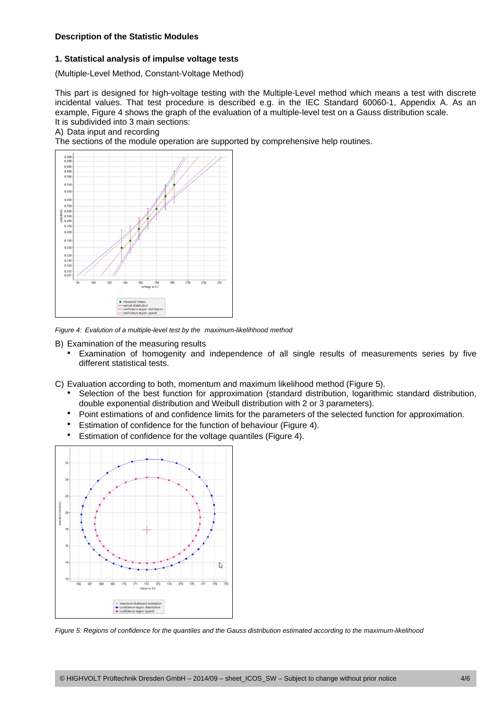#### **Description of the Statistic Modules**

#### **1. Statistical analysis of impulse voltage tests**

(Multiple-Level Method, Constant-Voltage Method)

This part is designed for high-voltage testing with the Multiple-Level method which means a test with discrete incidental values. That test procedure is described e.g. in the IEC Standard 60060-1, Appendix A. As an example, Figure 4 shows the graph of the evaluation of a multiple-level test on a Gauss distribution scale. It is subdivided into 3 main sections:

#### A) Data input and recording

The sections of the module operation are supported by comprehensive help routines.



*Figure 4: Evalution of a multiple-level test by the maximum-likelihhood method* 

B) Examination of the measuring results

Examination of homogenity and independence of all single results of measurements series by five different statistical tests.

C) Evaluation according to both, momentum and maximum likelihood method (Figure 5).

- Selection of the best function for approximation (standard distribution, logarithmic standard distribution, double exponential distribution and Weibull distribution with 2 or 3 parameters).
- Point estimations of and confidence limits for the parameters of the selected function for approximation.
- **Estimation of confidence for the function of behaviour (Figure 4).**
- Estimation of confidence for the voltage quantiles (Figure 4).



*Figure 5: Regions of confidence for the quantiles and the Gauss distribution estimated according to the maximum-likelihood*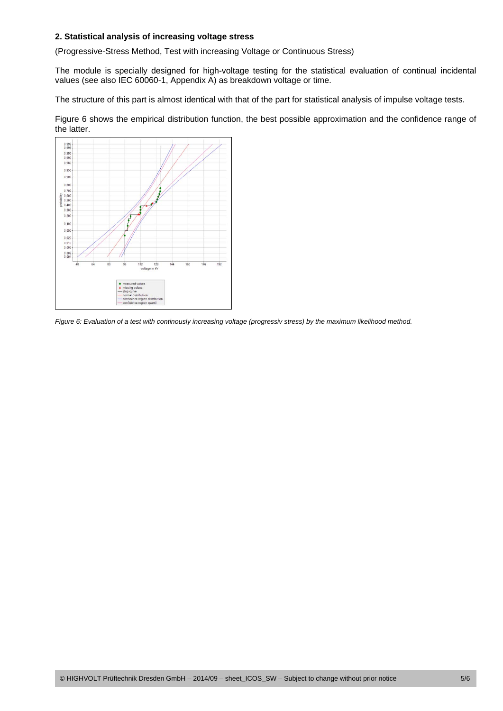#### **2. Statistical analysis of increasing voltage stress**

(Progressive-Stress Method, Test with increasing Voltage or Continuous Stress)

The module is specially designed for high-voltage testing for the statistical evaluation of continual incidental values (see also IEC 60060-1, Appendix A) as breakdown voltage or time.

The structure of this part is almost identical with that of the part for statistical analysis of impulse voltage tests.

Figure 6 shows the empirical distribution function, the best possible approximation and the confidence range of the latter.



*Figure 6: Evaluation of a test with continously increasing voltage (progressiv stress) by the maximum likelihood method.*